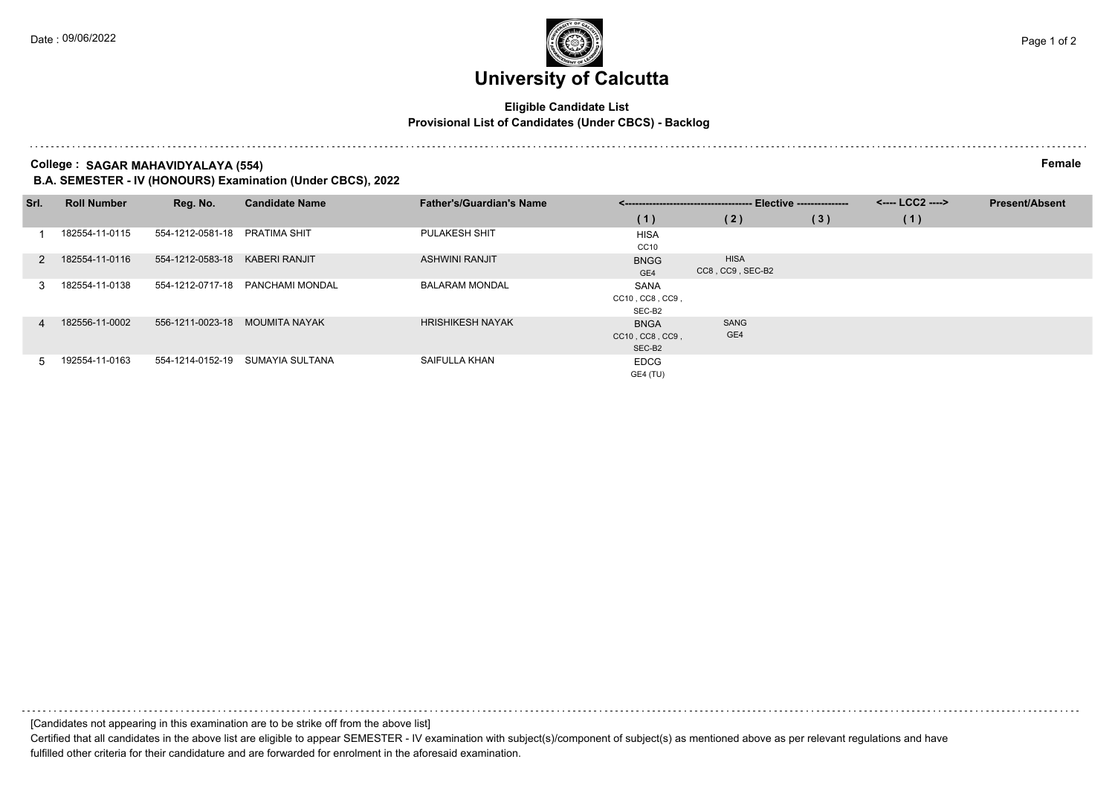# **University of Calcutta**

### **Eligible Candidate List Provisional List of Candidates (Under CBCS) - Backlog**

**College : SAGAR MAHAVIDYALAYA (554) Female**

**B.A. SEMESTER - IV (HONOURS) Examination (Under CBCS), 2022**

| Srl. | <b>Roll Number</b> | Reg. No.                       | <b>Candidate Name</b> | <b>Father's/Guardian's Name</b> | <------------------------------------ | - Elective --------------- |     | <---- LCC2 ----> | <b>Present/Absent</b> |
|------|--------------------|--------------------------------|-----------------------|---------------------------------|---------------------------------------|----------------------------|-----|------------------|-----------------------|
|      |                    |                                |                       |                                 | (1)                                   | (2)                        | (3) | (1)              |                       |
|      | 182554-11-0115     | 554-1212-0581-18               | <b>PRATIMA SHIT</b>   | PULAKESH SHIT                   | <b>HISA</b>                           |                            |     |                  |                       |
|      |                    |                                |                       |                                 | CC10                                  |                            |     |                  |                       |
|      | 182554-11-0116     | 554-1212-0583-18               | <b>KABERI RANJIT</b>  | <b>ASHWINI RANJIT</b>           | <b>BNGG</b>                           | <b>HISA</b>                |     |                  |                       |
|      |                    |                                |                       |                                 | GE4                                   | CC8, CC9, SEC-B2           |     |                  |                       |
|      | 182554-11-0138     | 554-1212-0717-18               | PANCHAMI MONDAL       | <b>BALARAM MONDAL</b>           | SANA                                  |                            |     |                  |                       |
|      |                    |                                |                       |                                 | CC10, CC8, CC9,                       |                            |     |                  |                       |
|      |                    |                                |                       |                                 | SEC-B2                                |                            |     |                  |                       |
| 4    | 182556-11-0002     | 556-1211-0023-18 MOUMITA NAYAK |                       | <b>HRISHIKESH NAYAK</b>         | <b>BNGA</b>                           | SANG                       |     |                  |                       |
|      |                    |                                |                       |                                 | CC10, CC8, CC9,                       | GE4                        |     |                  |                       |
|      |                    |                                |                       |                                 | SEC-B <sub>2</sub>                    |                            |     |                  |                       |
|      | 192554-11-0163     | 554-1214-0152-19               | SUMAYIA SULTANA       | SAIFULLA KHAN                   | <b>EDCG</b>                           |                            |     |                  |                       |
|      |                    |                                |                       |                                 | GE4 (TU)                              |                            |     |                  |                       |

[Candidates not appearing in this examination are to be strike off from the above list] Certified that all candidates in the above list are eligible to appear SEMESTER - IV examination with subject(s)/component of subject(s) as mentioned above as per relevant regulations and have

fulfilled other criteria for their candidature and are forwarded for enrolment in the aforesaid examination.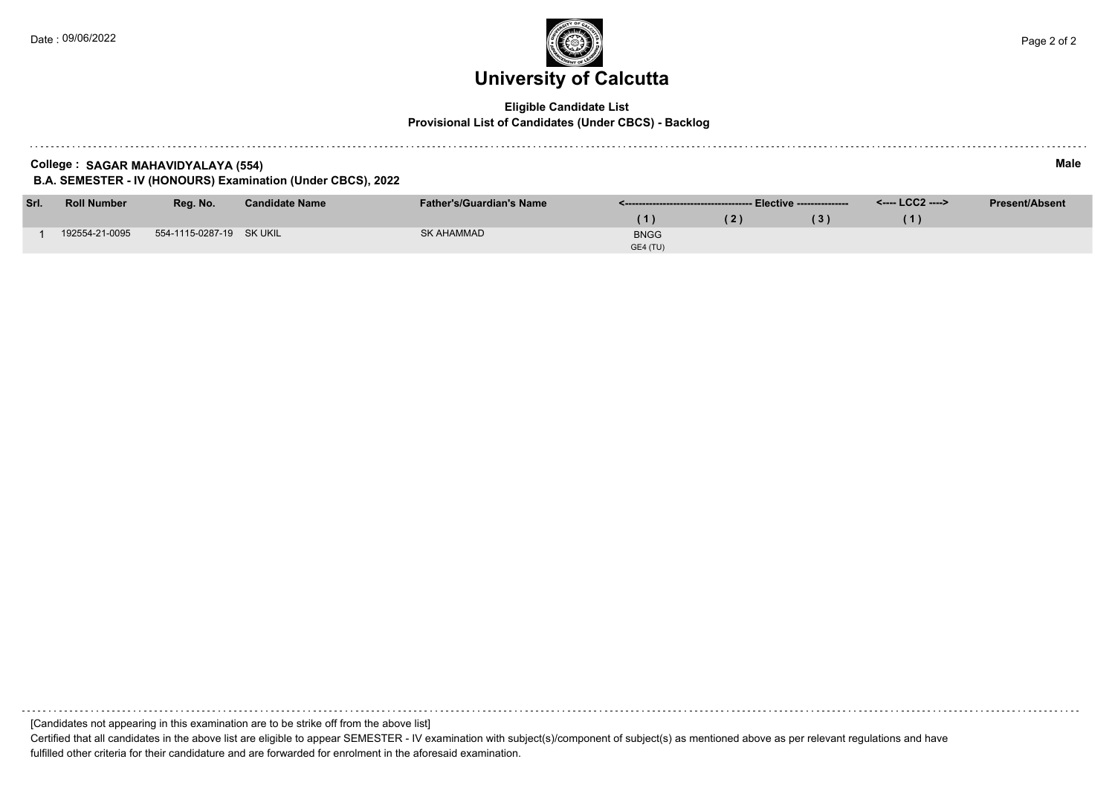

### **Eligible Candidate List Provisional List of Candidates (Under CBCS) - Backlog**

| College: SAGAR MAHAVIDYALAYA (554)<br>B.A. SEMESTER - IV (HONOURS) Examination (Under CBCS), 2022 |                    |                          |                       |                                 |             |     |     |                  |                       |
|---------------------------------------------------------------------------------------------------|--------------------|--------------------------|-----------------------|---------------------------------|-------------|-----|-----|------------------|-----------------------|
| Srl.                                                                                              | <b>Roll Number</b> | Reg. No.                 | <b>Candidate Name</b> | <b>Father's/Guardian's Name</b> |             |     |     | <---- LCC2 ----> | <b>Present/Absent</b> |
|                                                                                                   |                    |                          |                       |                                 | (1)         | (2) | (3) | (1)              |                       |
|                                                                                                   | 192554-21-0095     | 554-1115-0287-19 SK UKIL |                       | SK AHAMMAD                      | <b>BNGG</b> |     |     |                  |                       |

GE4 (TU)

[Candidates not appearing in this examination are to be strike off from the above list]

Certified that all candidates in the above list are eligible to appear SEMESTER - IV examination with subject(s)/component of subject(s) as mentioned above as per relevant regulations and have fulfilled other criteria for their candidature and are forwarded for enrolment in the aforesaid examination.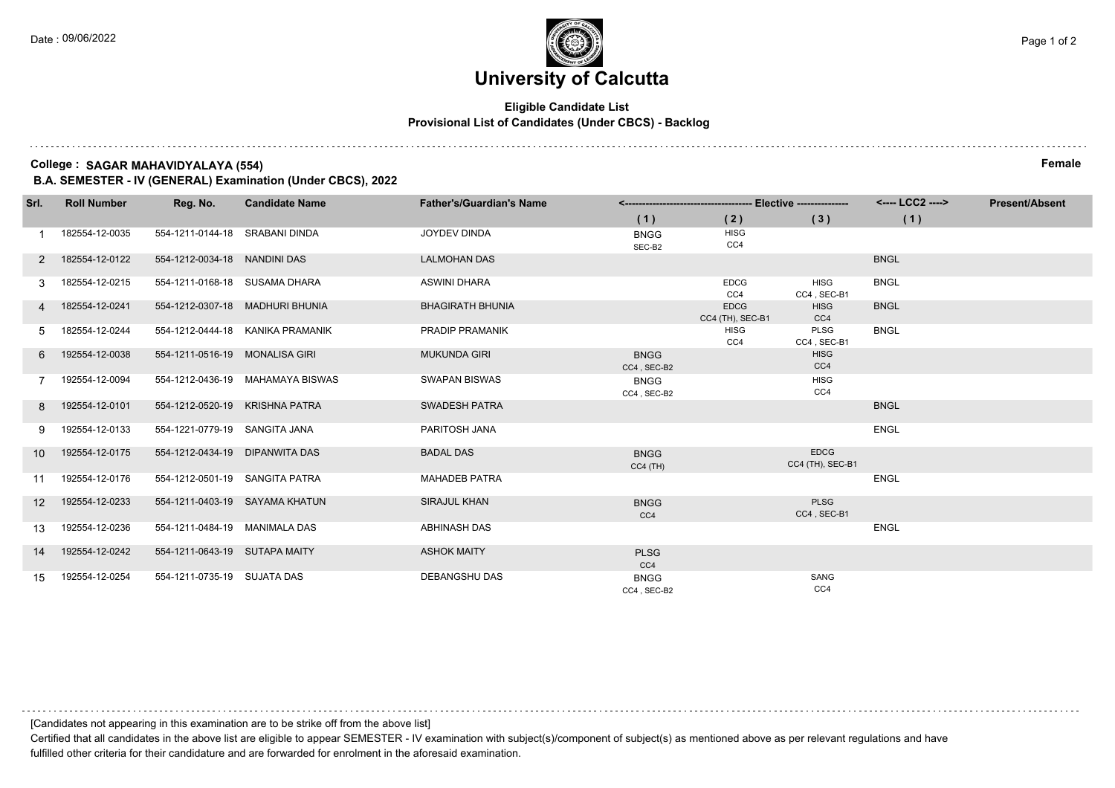### **University of Calcutta**

### **Eligible Candidate List Provisional List of Candidates (Under CBCS) - Backlog**

**College : SAGAR MAHAVIDYALAYA (554) Female**

**B.A. SEMESTER - IV (GENERAL) Examination (Under CBCS), 2022**

| Srl.            | <b>Roll Number</b> | Reg. No.                       | <b>Candidate Name</b>            | <b>Father's/Guardian's Name</b> |                            |                                 |                                 | <---- LCC2 ----> | <b>Present/Absent</b> |
|-----------------|--------------------|--------------------------------|----------------------------------|---------------------------------|----------------------------|---------------------------------|---------------------------------|------------------|-----------------------|
|                 |                    |                                |                                  |                                 | (1)                        | (2)                             | (3)                             | (1)              |                       |
|                 | 182554-12-0035     | 554-1211-0144-18 SRABANI DINDA |                                  | <b>JOYDEV DINDA</b>             | <b>BNGG</b><br>SEC-B2      | <b>HISG</b><br>CC4              |                                 |                  |                       |
| 2               | 182554-12-0122     | 554-1212-0034-18 NANDINI DAS   |                                  | <b>LALMOHAN DAS</b>             |                            |                                 |                                 | <b>BNGL</b>      |                       |
| 3               | 182554-12-0215     | 554-1211-0168-18 SUSAMA DHARA  |                                  | <b>ASWINI DHARA</b>             |                            | <b>EDCG</b><br>CC4              | <b>HISG</b><br>CC4, SEC-B1      | <b>BNGL</b>      |                       |
|                 | 182554-12-0241     |                                | 554-1212-0307-18 MADHURI BHUNIA  | <b>BHAGIRATH BHUNIA</b>         |                            | <b>EDCG</b><br>CC4 (TH), SEC-B1 | <b>HISG</b><br>CC4              | <b>BNGL</b>      |                       |
| 5               | 182554-12-0244     |                                | 554-1212-0444-18 KANIKA PRAMANIK | <b>PRADIP PRAMANIK</b>          |                            | <b>HISG</b><br>CC4              | PLSG<br>CC4, SEC-B1             | <b>BNGL</b>      |                       |
| 6               | 192554-12-0038     | 554-1211-0516-19 MONALISA GIRI |                                  | <b>MUKUNDA GIRI</b>             | <b>BNGG</b><br>CC4, SEC-B2 |                                 | <b>HISG</b><br>CC4              |                  |                       |
|                 | 192554-12-0094     |                                | 554-1212-0436-19 MAHAMAYA BISWAS | <b>SWAPAN BISWAS</b>            | <b>BNGG</b><br>CC4, SEC-B2 |                                 | <b>HISG</b><br>CC4              |                  |                       |
| 8               | 192554-12-0101     | 554-1212-0520-19 KRISHNA PATRA |                                  | <b>SWADESH PATRA</b>            |                            |                                 |                                 | <b>BNGL</b>      |                       |
|                 | 192554-12-0133     | 554-1221-0779-19 SANGITA JANA  |                                  | PARITOSH JANA                   |                            |                                 |                                 | <b>ENGL</b>      |                       |
| 10 <sup>1</sup> | 192554-12-0175     | 554-1212-0434-19 DIPANWITA DAS |                                  | <b>BADAL DAS</b>                | <b>BNGG</b><br>$CC4$ (TH)  |                                 | <b>EDCG</b><br>CC4 (TH), SEC-B1 |                  |                       |
| 11              | 192554-12-0176     | 554-1212-0501-19 SANGITA PATRA |                                  | <b>MAHADEB PATRA</b>            |                            |                                 |                                 | <b>ENGL</b>      |                       |
| 12 <sup>1</sup> | 192554-12-0233     |                                | 554-1211-0403-19 SAYAMA KHATUN   | <b>SIRAJUL KHAN</b>             | <b>BNGG</b><br>CC4         |                                 | <b>PLSG</b><br>CC4, SEC-B1      |                  |                       |
| 13              | 192554-12-0236     | 554-1211-0484-19 MANIMALA DAS  |                                  | ABHINASH DAS                    |                            |                                 |                                 | <b>ENGL</b>      |                       |
| 14              | 192554-12-0242     | 554-1211-0643-19 SUTAPA MAITY  |                                  | <b>ASHOK MAITY</b>              | <b>PLSG</b><br>CC4         |                                 |                                 |                  |                       |
| 15              | 192554-12-0254     | 554-1211-0735-19 SUJATA DAS    |                                  | DEBANGSHU DAS                   | <b>BNGG</b><br>CC4 SEC-B2  |                                 | SANG<br>CC4                     |                  |                       |

[Candidates not appearing in this examination are to be strike off from the above list]

Certified that all candidates in the above list are eligible to appear SEMESTER - IV examination with subject(s)/component of subject(s) as mentioned above as per relevant regulations and have fulfilled other criteria for their candidature and are forwarded for enrolment in the aforesaid examination.